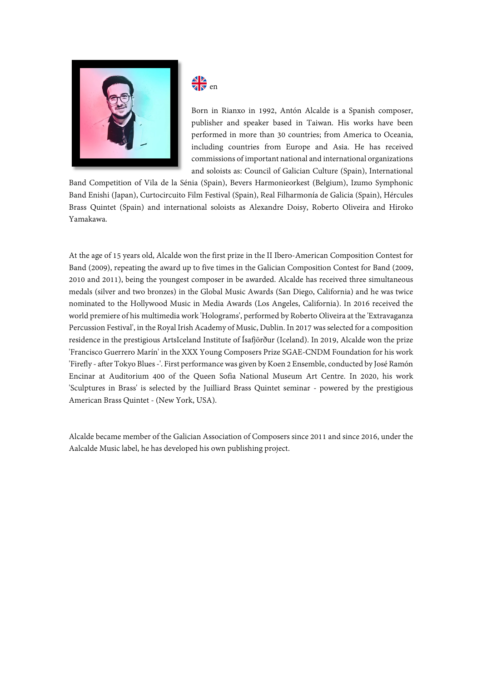

## J  $\nabla \mathbf{F}$  en

Born in Rianxo in 1992, Antón Alcalde is a Spanish composer, publisher and speaker based in Taiwan. His works have been performed in more than 30 countries; from America to Oceania, including countries from Europe and Asia. He has received commissions of important national and international organizations and soloists as: Council of Galician Culture (Spain), International

Band Competition of Vila de la Sénia (Spain), Bevers Harmonieorkest (Belgium), Izumo Symphonic Band Enishi (Japan), Curtocircuito Film Festival (Spain), Real Filharmonía de Galicia (Spain), Hércules Brass Quintet (Spain) and international soloists as Alexandre Doisy, Roberto Oliveira and Hiroko Yamakawa.

At the age of 15 years old, Alcalde won the first prize in the II Ibero-American Composition Contest for Band (2009), repeating the award up to five times in the Galician Composition Contest for Band (2009, 2010 and 2011), being the youngest composer in be awarded. Alcalde has received three simultaneous medals (silver and two bronzes) in the Global Music Awards (San Diego, California) and he was twice nominated to the Hollywood Music in Media Awards (Los Angeles, California). In 2016 received the world premiere of his multimedia work 'Holograms', performed by Roberto Oliveira at the 'Extravaganza Percussion Festival', in the Royal Irish Academy of Music, Dublin. In 2017 was selected for a composition residence in the prestigious ArtsIceland Institute of Ísafjörður (Iceland). In 2019, Alcalde won the prize 'Francisco Guerrero Marín' in the XXX Young Composers Prize SGAE-CNDM Foundation for his work 'Firefly - after Tokyo Blues -'. First performance was given by Koen 2 Ensemble, conducted by José Ramón Encinar at Auditorium 400 of the Queen Sofia National Museum Art Centre. In 2020, his work 'Sculptures in Brass' is selected by the Juilliard Brass Quintet seminar - powered by the prestigious American Brass Quintet - (New York, USA).

Alcalde became member of the Galician Association of Composers since 2011 and since 2016, under the Aalcalde Music label, he has developed his own publishing project.